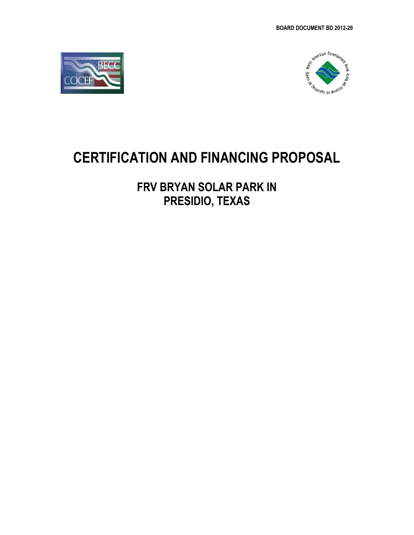



# **CERTIFICATION AND FINANCING PROPOSAL**

# **FRV BRYAN SOLAR PARK IN PRESIDIO, TEXAS**

*Submitted: June 26, 2012*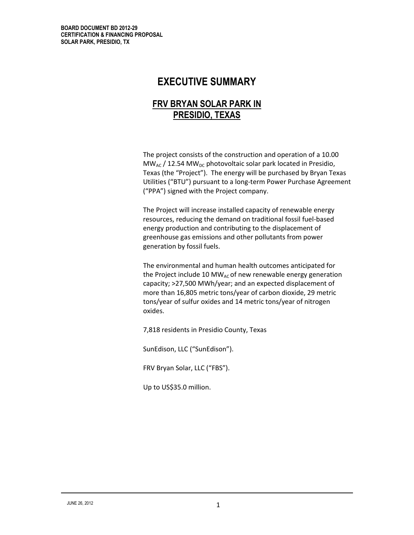# **EXECUTIVE SUMMARY**

# **FRV BRYAN SOLAR PARK IN PRESIDIO, TEXAS**

**Project** The project consists of the construction and operation of a 10.00  $MW_{AC}$  / 12.54 MW<sub>DC</sub> photovoltaic solar park located in Presidio, Texas (the "Project"). The energy will be purchased by Bryan Texas Utilities ("BTU") pursuant to a long-term Power Purchase Agreement ("PPA") signed with the Project company.

**Project bjective:** The Project will increase installed capacity of renewable energy resources, reducing the demand on traditional fossil fuel-based energy production and contributing to the displacement of greenhouse gas emissions and other pollutants from power generation by fossil fuels.

The environmental and human health outcomes anticipated for the Project include 10 MW<sub>AC</sub> of new renewable energy generation capacity; >27,500 MWh/year; and an expected displacement of more than 16,805 metric tons/year of carbon dioxide, 29 metric tons/year of sulfur oxides and 14 metric tons/year of nitrogen oxides.

7,818 residents in Presidio County, Texas

SunEdison, LLC ("SunEdison").

FRV Bryan Solar, LLC ("FBS").

Up to US\$35.0 million.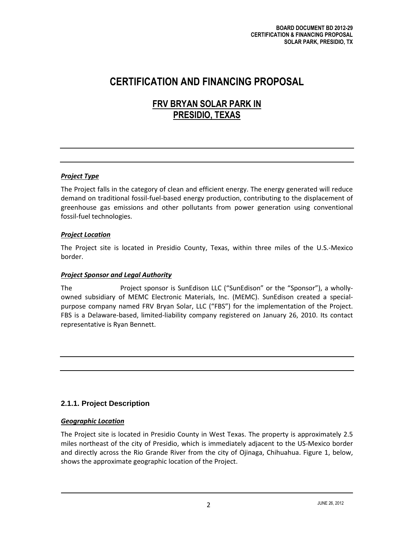# **CERTIFICATION AND FINANCING PROPOSAL**

# **FRV BRYAN SOLAR PARK IN PRESIDIO, TEXAS**

# *Project Type*

The Project falls in the category of clean and efficient energy. The energy generated will reduce demand on traditional fossil-fuel-based energy production, contributing to the displacement of greenhouse gas emissions and other pollutants from power generation using conventional fossil-fuel technologies.

# *Project Location*

The Project site is located in Presidio County, Texas, within three miles of the U.S.-Mexico border.

# *Project Sponsor and Legal Authority*

The **private sector** Project sponsor is SunEdison LLC ("SunEdison" or the "Sponsor"), a whollyowned subsidiary of MEMC Electronic Materials, Inc. (MEMC). SunEdison created a specialpurpose company named FRV Bryan Solar, LLC ("FBS") for the implementation of the Project. FBS is a Delaware-based, limited-liability company registered on January 26, 2010. Its contact representative is Ryan Bennett.

# **2.1.1. Project Description**

# *Geographic Location*

The Project site is located in Presidio County in West Texas. The property is approximately 2.5 miles northeast of the city of Presidio, which is immediately adjacent to the US-Mexico border and directly across the Rio Grande River from the city of Ojinaga, Chihuahua. Figure 1, below, shows the approximate geographic location of the Project.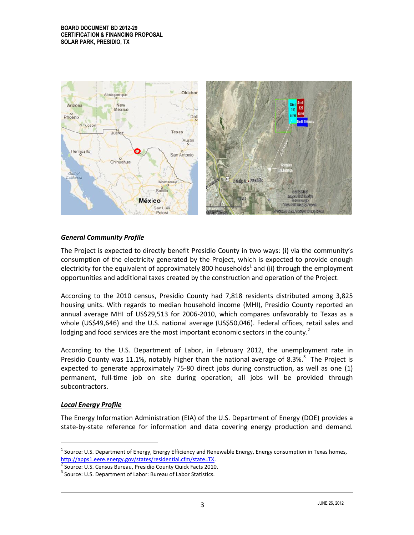

# *General Community Profile*

The Project is expected to directly benefit Presidio County in two ways: (i) via the community's consumption of the electricity generated by the Project, which is expected to provide enough electricity for the equivalent of approximately 800 households<sup>1</sup> and (ii) through the employment opportunities and additional taxes created by the construction and operation of the Project.

According to the 2010 census, Presidio County had 7,818 residents distributed among 3,825 housing units. With regards to median household income (MHI), Presidio County reported an annual average MHI of US\$29,513 for 2006-2010, which compares unfavorably to Texas as a whole (US\$49,646) and the U.S. national average (US\$50,046). Federal offices, retail sales and lodging and food services are the most important economic sectors in the county.<sup>2</sup>

According to the U.S. Department of Labor, in February 2012, the unemployment rate in Presidio County was 11.1%, notably higher than the national average of 8.3%. $3$  The Project is expected to generate approximately 75-80 direct jobs during construction, as well as one (1) permanent, full-time job on site during operation; all jobs will be provided through subcontractors.

# *Local Energy Profile*

 $\overline{a}$ 

The Energy Information Administration (EIA) of the U.S. Department of Energy (DOE) provides a state-by-state reference for information and data covering energy production and demand.

<sup>&</sup>lt;sup>1</sup> Source: U.S. Department of Energy, Energy Efficiency and Renewable Energy, Energy consumption in Texas homes, [http://apps1.eere.energy.gov/states/residential.cfm/state=TX.](http://apps1.eere.energy.gov/states/residential.cfm/state=TX)

<sup>&</sup>lt;sup>2</sup> Source: U.S. Census Bureau, Presidio County Quick Facts 2010.

<sup>&</sup>lt;sup>3</sup> Source: U.S. Department of Labor: Bureau of Labor Statistics.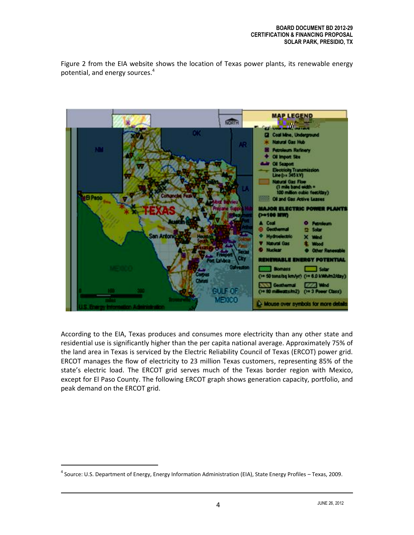Figure 2 from the EIA website shows the location of Texas power plants, its renewable energy potential, and energy sources.<sup>4</sup>



According to the EIA, Texas produces and consumes more electricity than any other state and residential use is significantly higher than the per capita national average. Approximately 75% of the land area in Texas is serviced by the Electric Reliability Council of Texas (ERCOT) power grid. ERCOT manages the flow of electricity to 23 million Texas customers, representing 85% of the state's electric load. The ERCOT grid serves much of the Texas border region with Mexico, except for El Paso County. The following ERCOT graph shows generation capacity, portfolio, and peak demand on the ERCOT grid.

 $\overline{a}$ 

<sup>&</sup>lt;sup>4</sup> Source: U.S. Department of Energy, Energy Information Administration (EIA), State Energy Profiles – Texas, 2009.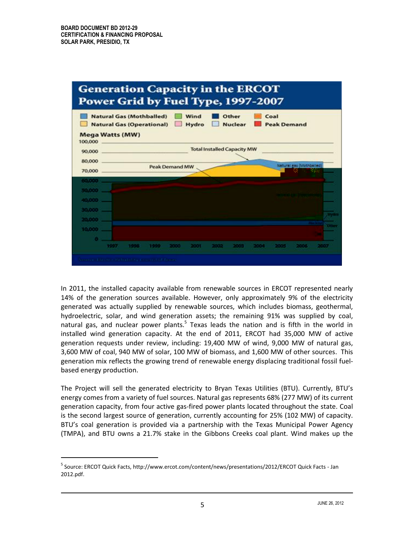

In 2011, the installed capacity available from renewable sources in ERCOT represented nearly 14% of the generation sources available. However, only approximately 9% of the electricity generated was actually supplied by renewable sources, which includes biomass, geothermal, hydroelectric, solar, and wind generation assets; the remaining 91% was supplied by coal, natural gas, and nuclear power plants.<sup>5</sup> Texas leads the nation and is fifth in the world in installed wind generation capacity. At the end of 2011, ERCOT had 35,000 MW of active generation requests under review, including: 19,400 MW of wind, 9,000 MW of natural gas, 3,600 MW of coal, 940 MW of solar, 100 MW of biomass, and 1,600 MW of other sources. This generation mix reflects the growing trend of renewable energy displacing traditional fossil fuelbased energy production.

The Project will sell the generated electricity to Bryan Texas Utilities (BTU). Currently, BTU's energy comes from a variety of fuel sources. Natural gas represents 68% (277 MW) of its current generation capacity, from four active gas-fired power plants located throughout the state. Coal is the second largest source of generation, currently accounting for 25% (102 MW) of capacity. BTU's coal generation is provided via a partnership with the Texas Municipal Power Agency (TMPA), and BTU owns a 21.7% stake in the Gibbons Creeks coal plant. Wind makes up the

<sup>&</sup>lt;sup>5</sup> Source: ERCOT Quick Facts, http://www.ercot.com/content/news/presentations/2012/ERCOT Quick Facts - Jan 2012.pdf.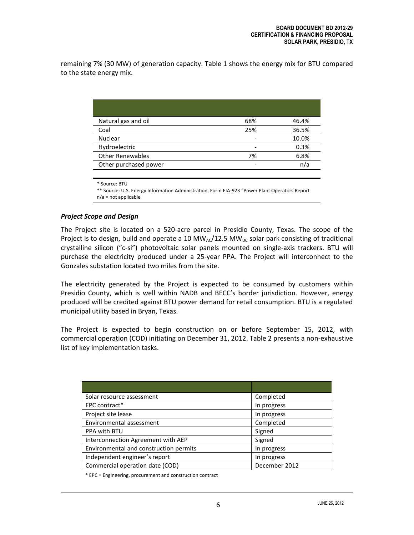remaining 7% (30 MW) of generation capacity. Table 1 shows the energy mix for BTU compared to the state energy mix.

|                         | 68% | 46.4% |
|-------------------------|-----|-------|
| Natural gas and oil     |     |       |
| Coal                    | 25% | 36.5% |
| <b>Nuclear</b>          |     | 10.0% |
| Hydroelectric           |     | 0.3%  |
| <b>Other Renewables</b> | 7%  | 6.8%  |
| Other purchased power   |     | n/a   |

\* Source: BTU

\*\* Source: U.S. Energy Information Administration, Form EIA-923 "Power Plant Operators Report n/a = not applicable

#### *Project Scope and Design*

The Project site is located on a 520-acre parcel in Presidio County, Texas. The scope of the Project is to design, build and operate a 10 MW<sub>AC</sub>/12.5 MW<sub>DC</sub> solar park consisting of traditional crystalline silicon ("c-si") photovoltaic solar panels mounted on single-axis trackers. BTU will purchase the electricity produced under a 25-year PPA. The Project will interconnect to the Gonzales substation located two miles from the site.

The electricity generated by the Project is expected to be consumed by customers within Presidio County, which is well within NADB and BECC's border jurisdiction. However, energy produced will be credited against BTU power demand for retail consumption. BTU is a regulated municipal utility based in Bryan, Texas.

The Project is expected to begin construction on or before September 15, 2012, with commercial operation (COD) initiating on December 31, 2012. Table 2 presents a non-exhaustive list of key implementation tasks.

| Solar resource assessment              | Completed     |  |
|----------------------------------------|---------------|--|
| EPC contract*                          | In progress   |  |
| Project site lease                     | In progress   |  |
| Environmental assessment               | Completed     |  |
| PPA with BTU                           | Signed        |  |
| Interconnection Agreement with AEP     | Signed        |  |
| Environmental and construction permits | In progress   |  |
| Independent engineer's report          | In progress   |  |
| Commercial operation date (COD)        | December 2012 |  |

\* EPC = Engineering, procurement and construction contract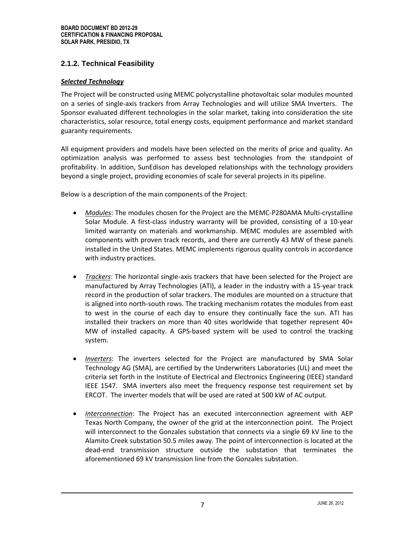# **2.1.2. Technical Feasibility**

#### *Selected Technology*

The Project will be constructed using MEMC polycrystalline photovoltaic solar modules mounted on a series of single-axis trackers from Array Technologies and will utilize SMA Inverters. The Sponsor evaluated different technologies in the solar market, taking into consideration the site characteristics, solar resource, total energy costs, equipment performance and market standard guaranty requirements.

All equipment providers and models have been selected on the merits of price and quality. An optimization analysis was performed to assess best technologies from the standpoint of profitability. In addition, SunEdison has developed relationships with the technology providers beyond a single project, providing economies of scale for several projects in its pipeline.

Below is a description of the main components of the Project:

- *Modules*: The modules chosen for the Project are the MEMC-P280AMA Multi-crystalline Solar Module. A first-class industry warranty will be provided, consisting of a 10-year limited warranty on materials and workmanship. MEMC modules are assembled with components with proven track records, and there are currently 43 MW of these panels installed in the United States. MEMC implements rigorous quality controls in accordance with industry practices.
- *Trackers*: The horizontal single-axis trackers that have been selected for the Project are manufactured by Array Technologies (ATI), a leader in the industry with a 15-year track record in the production of solar trackers. The modules are mounted on a structure that is aligned into north-south rows. The tracking mechanism rotates the modules from east to west in the course of each day to ensure they continually face the sun. ATI has installed their trackers on more than 40 sites worldwide that together represent 40+ MW of installed capacity. A GPS-based system will be used to control the tracking system.
- *Inverters*: The inverters selected for the Project are manufactured by SMA Solar Technology AG (SMA), are certified by the Underwriters Laboratories (UL) and meet the criteria set forth in the Institute of Electrical and Electronics Engineering (IEEE) standard IEEE 1547. SMA inverters also meet the frequency response test requirement set by ERCOT. The inverter models that will be used are rated at 500 kW of AC output.
- *Interconnection*: The Project has an executed interconnection agreement with AEP Texas North Company, the owner of the grid at the interconnection point. The Project will interconnect to the Gonzales substation that connects via a single 69 kV line to the Alamito Creek substation 50.5 miles away. The point of interconnection is located at the dead-end transmission structure outside the substation that terminates the aforementioned 69 kV transmission line from the Gonzales substation.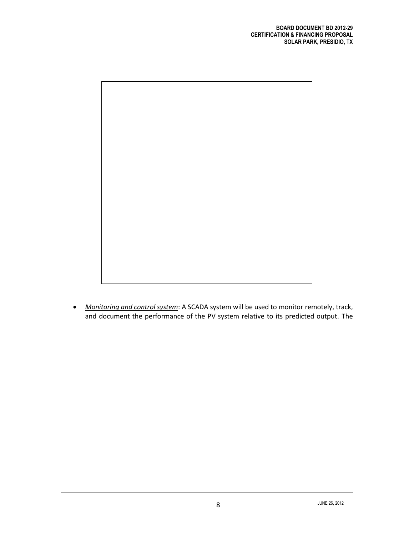

 *Monitoring and control system*: A SCADA system will be used to monitor remotely, track, and document the performance of the PV system relative to its predicted output. The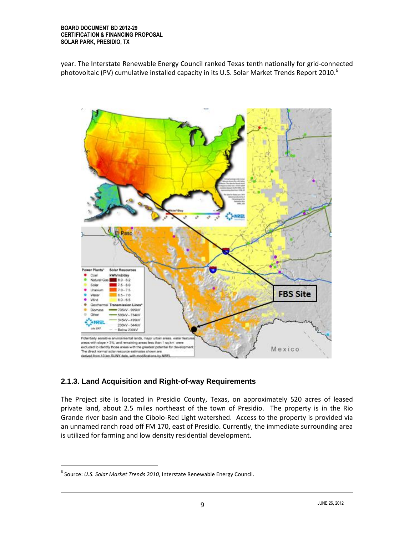year. The Interstate Renewable Energy Council ranked Texas tenth nationally for grid-connected photovoltaic (PV) cumulative installed capacity in its U.S. Solar Market Trends Report 2010.<sup>6</sup>



# **2.1.3. Land Acquisition and Right-of-way Requirements**

The Project site is located in Presidio County, Texas, on approximately 520 acres of leased private land, about 2.5 miles northeast of the town of Presidio. The property is in the Rio Grande river basin and the Cibolo-Red Light watershed. Access to the property is provided via an unnamed ranch road off FM 170, east of Presidio. Currently, the immediate surrounding area is utilized for farming and low density residential development.

 $\overline{a}$ 

<sup>6</sup> Source: *U.S. Solar Market Trends 2010*, Interstate Renewable Energy Council.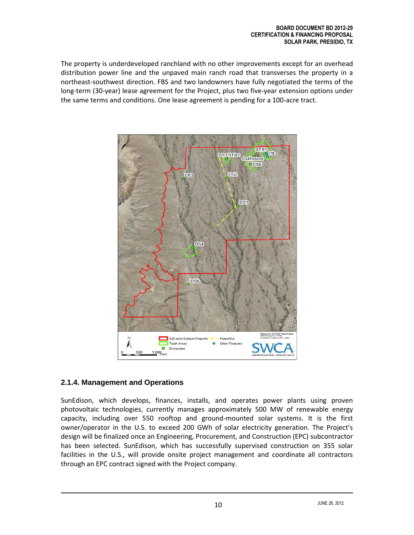The property is underdeveloped ranchland with no other improvements except for an overhead distribution power line and the unpaved main ranch road that transverses the property in a northeast-southwest direction. FBS and two landowners have fully negotiated the terms of the long-term (30-year) lease agreement for the Project, plus two five-year extension options under the same terms and conditions. One lease agreement is pending for a 100-acre tract.



# **2.1.4. Management and Operations**

SunEdison, which develops, finances, installs, and operates power plants using proven photovoltaic technologies, currently manages approximately 500 MW of renewable energy capacity, including over 550 rooftop and ground-mounted solar systems. It is the first owner/operator in the U.S. to exceed 200 GWh of solar electricity generation. The Project's design will be finalized once an Engineering, Procurement, and Construction (EPC) subcontractor has been selected. SunEdison, which has successfully supervised construction on 355 solar facilities in the U.S., will provide onsite project management and coordinate all contractors through an EPC contract signed with the Project company.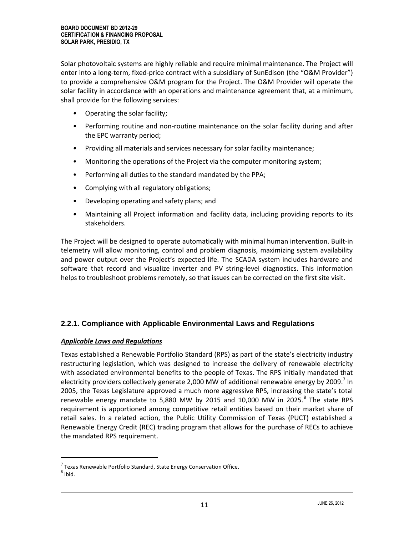Solar photovoltaic systems are highly reliable and require minimal maintenance. The Project will enter into a long-term, fixed-price contract with a subsidiary of SunEdison (the "O&M Provider") to provide a comprehensive O&M program for the Project. The O&M Provider will operate the solar facility in accordance with an operations and maintenance agreement that, at a minimum, shall provide for the following services:

- Operating the solar facility;
- Performing routine and non-routine maintenance on the solar facility during and after the EPC warranty period;
- Providing all materials and services necessary for solar facility maintenance;
- Monitoring the operations of the Project via the computer monitoring system;
- Performing all duties to the standard mandated by the PPA;
- Complying with all regulatory obligations;
- Developing operating and safety plans; and
- Maintaining all Project information and facility data, including providing reports to its stakeholders.

The Project will be designed to operate automatically with minimal human intervention. Built-in telemetry will allow monitoring, control and problem diagnosis, maximizing system availability and power output over the Project's expected life. The SCADA system includes hardware and software that record and visualize inverter and PV string-level diagnostics. This information helps to troubleshoot problems remotely, so that issues can be corrected on the first site visit.

# **2.2.1. Compliance with Applicable Environmental Laws and Regulations**

#### *Applicable Laws and Regulations*

Texas established a Renewable Portfolio Standard (RPS) as part of the state's electricity industry restructuring legislation, which was designed to increase the delivery of renewable electricity with associated environmental benefits to the people of Texas. The RPS initially mandated that electricity providers collectively generate 2,000 MW of additional renewable energy by 2009.<sup>7</sup> In 2005, the Texas Legislature approved a much more aggressive RPS, increasing the state's total renewable energy mandate to 5,880 MW by 2015 and 10,000 MW in 2025. $^8$  The state RPS requirement is apportioned among competitive retail entities based on their market share of retail sales. In a related action, the Public Utility Commission of Texas (PUCT) established a Renewable Energy Credit (REC) trading program that allows for the purchase of RECs to achieve the mandated RPS requirement.

 $^7$  Texas Renewable Portfolio Standard, State Energy Conservation Office.

 $^8$  Ibid.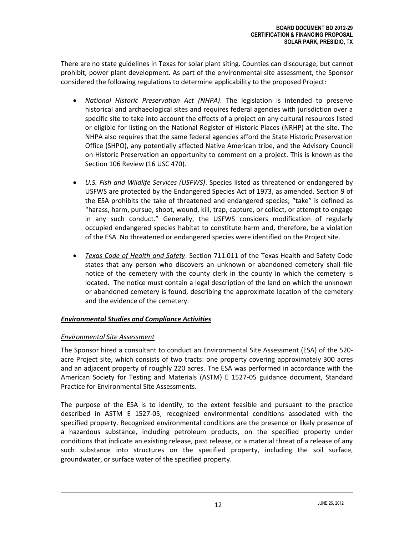There are no state guidelines in Texas for solar plant siting. Counties can discourage, but cannot prohibit, power plant development. As part of the environmental site assessment, the Sponsor considered the following regulations to determine applicability to the proposed Project:

- *National Historic Preservation Act (NHPA)*. The legislation is intended to preserve historical and archaeological sites and requires federal agencies with jurisdiction over a specific site to take into account the effects of a project on any cultural resources listed or eligible for listing on the National Register of Historic Places (NRHP) at the site. The NHPA also requires that the same federal agencies afford the State Historic Preservation Office (SHPO), any potentially affected Native American tribe, and the Advisory Council on Historic Preservation an opportunity to comment on a project. This is known as the Section 106 Review (16 USC 470).
- *U.S. Fish and Wildlife Services (USFWS)*. Species listed as threatened or endangered by USFWS are protected by the Endangered Species Act of 1973, as amended. Section 9 of the ESA prohibits the take of threatened and endangered species; "take" is defined as "harass, harm, pursue, shoot, wound, kill, trap, capture, or collect, or attempt to engage in any such conduct." Generally, the USFWS considers modification of regularly occupied endangered species habitat to constitute harm and, therefore, be a violation of the ESA. No threatened or endangered species were identified on the Project site.
- *Texas Code of Health and Safety*. Section 711.011 of the Texas Health and Safety Code states that any person who discovers an unknown or abandoned cemetery shall file notice of the cemetery with the county clerk in the county in which the cemetery is located. The notice must contain a legal description of the land on which the unknown or abandoned cemetery is found, describing the approximate location of the cemetery and the evidence of the cemetery.

# *Environmental Studies and Compliance Activities*

# *Environmental Site Assessment*

The Sponsor hired a consultant to conduct an Environmental Site Assessment (ESA) of the 520 acre Project site, which consists of two tracts: one property covering approximately 300 acres and an adjacent property of roughly 220 acres. The ESA was performed in accordance with the American Society for Testing and Materials (ASTM) E 1527-05 guidance document, Standard Practice for Environmental Site Assessments.

The purpose of the ESA is to identify, to the extent feasible and pursuant to the practice described in ASTM E 1527-05, recognized environmental conditions associated with the specified property. Recognized environmental conditions are the presence or likely presence of a hazardous substance, including petroleum products, on the specified property under conditions that indicate an existing release, past release, or a material threat of a release of any such substance into structures on the specified property, including the soil surface, groundwater, or surface water of the specified property.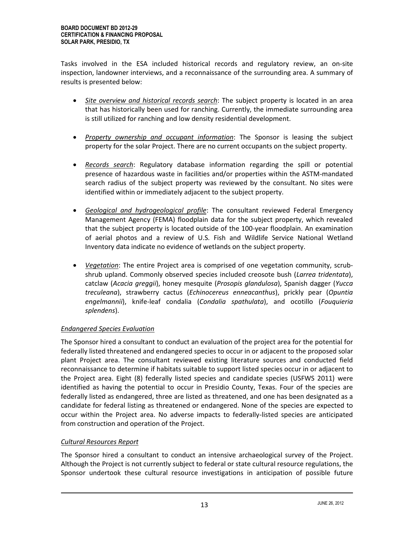Tasks involved in the ESA included historical records and regulatory review, an on-site inspection, landowner interviews, and a reconnaissance of the surrounding area. A summary of results is presented below:

- *Site overview and historical records search*: The subject property is located in an area that has historically been used for ranching. Currently, the immediate surrounding area is still utilized for ranching and low density residential development.
- *Property ownership and occupant information*: The Sponsor is leasing the subject property for the solar Project. There are no current occupants on the subject property.
- *Records search*: Regulatory database information regarding the spill or potential presence of hazardous waste in facilities and/or properties within the ASTM-mandated search radius of the subject property was reviewed by the consultant. No sites were identified within or immediately adjacent to the subject property.
- *Geological and hydrogeological profile*: The consultant reviewed Federal Emergency Management Agency (FEMA) floodplain data for the subject property, which revealed that the subject property is located outside of the 100-year floodplain. An examination of aerial photos and a review of U.S. Fish and Wildlife Service National Wetland Inventory data indicate no evidence of wetlands on the subject property.
- *Vegetation*: The entire Project area is comprised of one vegetation community, scrubshrub upland. Commonly observed species included creosote bush (*Larrea tridentata*), catclaw (*Acacia greggii*), honey mesquite (*Prosopis glandulosa*), Spanish dagger (*Yucca treculeana*), strawberry cactus (*Echinocereus enneacanthus*), prickly pear (*Opuntia engelmannii*), knife-leaf condalia (*Condalia spathulata*), and ocotillo (*Fouquieria splendens*).

# *Endangered Species Evaluation*

The Sponsor hired a consultant to conduct an evaluation of the project area for the potential for federally listed threatened and endangered species to occur in or adjacent to the proposed solar plant Project area. The consultant reviewed existing literature sources and conducted field reconnaissance to determine if habitats suitable to support listed species occur in or adjacent to the Project area. Eight (8) federally listed species and candidate species (USFWS 2011) were identified as having the potential to occur in Presidio County, Texas. Four of the species are federally listed as endangered, three are listed as threatened, and one has been designated as a candidate for federal listing as threatened or endangered. None of the species are expected to occur within the Project area. No adverse impacts to federally-listed species are anticipated from construction and operation of the Project.

# *Cultural Resources Report*

The Sponsor hired a consultant to conduct an intensive archaeological survey of the Project. Although the Project is not currently subject to federal or state cultural resource regulations, the Sponsor undertook these cultural resource investigations in anticipation of possible future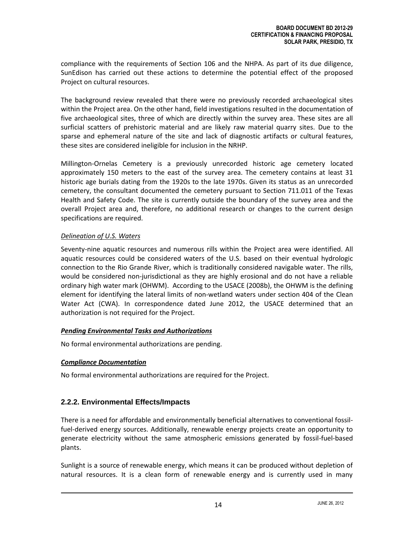compliance with the requirements of Section 106 and the NHPA. As part of its due diligence, SunEdison has carried out these actions to determine the potential effect of the proposed Project on cultural resources.

The background review revealed that there were no previously recorded archaeological sites within the Project area. On the other hand, field investigations resulted in the documentation of five archaeological sites, three of which are directly within the survey area. These sites are all surficial scatters of prehistoric material and are likely raw material quarry sites. Due to the sparse and ephemeral nature of the site and lack of diagnostic artifacts or cultural features, these sites are considered ineligible for inclusion in the NRHP.

Millington-Ornelas Cemetery is a previously unrecorded historic age cemetery located approximately 150 meters to the east of the survey area. The cemetery contains at least 31 historic age burials dating from the 1920s to the late 1970s. Given its status as an unrecorded cemetery, the consultant documented the cemetery pursuant to Section 711.011 of the Texas Health and Safety Code. The site is currently outside the boundary of the survey area and the overall Project area and, therefore, no additional research or changes to the current design specifications are required.

# *Delineation of U.S. Waters*

Seventy-nine aquatic resources and numerous rills within the Project area were identified. All aquatic resources could be considered waters of the U.S. based on their eventual hydrologic connection to the Rio Grande River, which is traditionally considered navigable water. The rills, would be considered non-jurisdictional as they are highly erosional and do not have a reliable ordinary high water mark (OHWM). According to the USACE (2008b), the OHWM is the defining element for identifying the lateral limits of non-wetland waters under section 404 of the Clean Water Act (CWA). In correspondence dated June 2012, the USACE determined that an authorization is not required for the Project.

# *Pending Environmental Tasks and Authorizations*

No formal environmental authorizations are pending.

# *Compliance Documentation*

No formal environmental authorizations are required for the Project.

# **2.2.2. Environmental Effects/Impacts**

There is a need for affordable and environmentally beneficial alternatives to conventional fossilfuel-derived energy sources. Additionally, renewable energy projects create an opportunity to generate electricity without the same atmospheric emissions generated by fossil-fuel-based plants.

Sunlight is a source of renewable energy, which means it can be produced without depletion of natural resources. It is a clean form of renewable energy and is currently used in many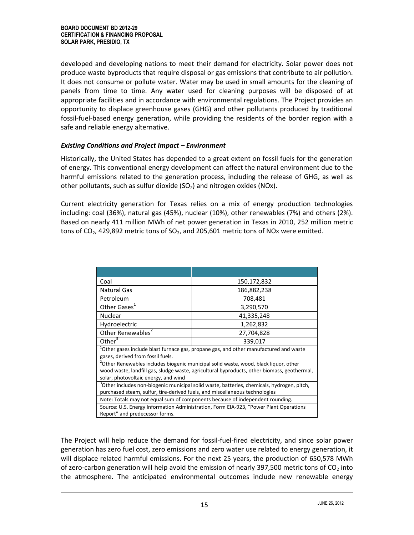developed and developing nations to meet their demand for electricity. Solar power does not produce waste byproducts that require disposal or gas emissions that contribute to air pollution. It does not consume or pollute water. Water may be used in small amounts for the cleaning of panels from time to time. Any water used for cleaning purposes will be disposed of at appropriate facilities and in accordance with environmental regulations. The Project provides an opportunity to displace greenhouse gases (GHG) and other pollutants produced by traditional fossil-fuel-based energy generation, while providing the residents of the border region with a safe and reliable energy alternative.

#### *Existing Conditions and Project Impact – Environment*

Historically, the United States has depended to a great extent on fossil fuels for the generation of energy. This conventional energy development can affect the natural environment due to the harmful emissions related to the generation process, including the release of GHG, as well as other pollutants, such as sulfur dioxide  $(SO<sub>2</sub>)$  and nitrogen oxides (NOx).

Current electricity generation for Texas relies on a mix of energy production technologies including: coal (36%), natural gas (45%), nuclear (10%), other renewables (7%) and others (2%). Based on nearly 411 million MWh of net power generation in Texas in 2010, 252 million metric tons of  $CO<sub>2</sub>$ , 429,892 metric tons of SO<sub>2</sub>, and 205,601 metric tons of NO<sub>x</sub> were emitted.

| Coal                                                                                                                                                                                  | 150,172,832 |  |
|---------------------------------------------------------------------------------------------------------------------------------------------------------------------------------------|-------------|--|
| Natural Gas                                                                                                                                                                           | 186,882,238 |  |
| Petroleum                                                                                                                                                                             | 708,481     |  |
| Other Gases <sup>1</sup>                                                                                                                                                              | 3,290,570   |  |
| Nuclear                                                                                                                                                                               | 41,335,248  |  |
| Hydroelectric                                                                                                                                                                         | 1,262,832   |  |
| Other Renewables <sup>2</sup>                                                                                                                                                         | 27,704,828  |  |
| Other $3$                                                                                                                                                                             | 339,017     |  |
| <sup>1</sup> Other gases include blast furnace gas, propane gas, and other manufactured and waste<br>gases, derived from fossil fuels.                                                |             |  |
| <sup>2</sup> Other Renewables includes biogenic municipal solid waste, wood, black liquor, other                                                                                      |             |  |
| wood waste, landfill gas, sludge waste, agricultural byproducts, other biomass, geothermal,                                                                                           |             |  |
| solar, photovoltaic energy, and wind                                                                                                                                                  |             |  |
| <sup>3</sup> Other includes non-biogenic municipal solid waste, batteries, chemicals, hydrogen, pitch,<br>purchased steam, sulfur, tire-derived fuels, and miscellaneous technologies |             |  |
| Note: Totals may not equal sum of components because of independent rounding.                                                                                                         |             |  |
| Source: U.S. Energy Information Administration, Form EIA-923, "Power Plant Operations<br>Report" and predecessor forms.                                                               |             |  |

The Project will help reduce the demand for fossil-fuel-fired electricity, and since solar power generation has zero fuel cost, zero emissions and zero water use related to energy generation, it will displace related harmful emissions. For the next 25 years, the production of 650,578 MWh of zero-carbon generation will help avoid the emission of nearly 397,500 metric tons of  $CO<sub>2</sub>$  into the atmosphere. The anticipated environmental outcomes include new renewable energy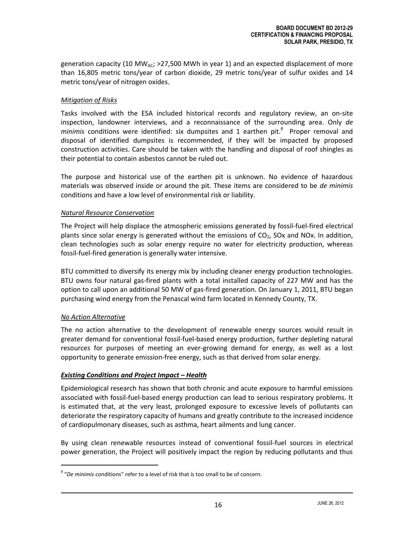generation capacity (10 MW<sub>AC</sub>; >27,500 MWh in year 1) and an expected displacement of more than 16,805 metric tons/year of carbon dioxide, 29 metric tons/year of sulfur oxides and 14 metric tons/year of nitrogen oxides.

#### *Mitigation of Risks*

Tasks involved with the ESA included historical records and regulatory review, an on-site inspection, landowner interviews, and a reconnaissance of the surrounding area. Only *de minimis* conditions were identified: six dumpsites and 1 earthen pit. *9* Proper removal and disposal of identified dumpsites is recommended, if they will be impacted by proposed construction activities. Care should be taken with the handling and disposal of roof shingles as their potential to contain asbestos cannot be ruled out.

The purpose and historical use of the earthen pit is unknown. No evidence of hazardous materials was observed inside or around the pit. These items are considered to be *de minimis* conditions and have a low level of environmental risk or liability.

#### *Natural Resource Conservation*

The Project will help displace the atmospheric emissions generated by fossil-fuel-fired electrical plants since solar energy is generated without the emissions of  $CO<sub>2</sub>$ , SOx and NOx. In addition, clean technologies such as solar energy require no water for electricity production, whereas fossil-fuel-fired generation is generally water intensive.

BTU committed to diversify its energy mix by including cleaner energy production technologies. BTU owns four natural gas-fired plants with a total installed capacity of 227 MW and has the option to call upon an additional 50 MW of gas-fired generation. On January 1, 2011, BTU began purchasing wind energy from the Penascal wind farm located in Kennedy County, TX.

# *No Action Alternative*

 $\overline{a}$ 

The no action alternative to the development of renewable energy sources would result in greater demand for conventional fossil-fuel-based energy production, further depleting natural resources for purposes of meeting an ever-growing demand for energy, as well as a lost opportunity to generate emission-free energy, such as that derived from solar energy.

# *Existing Conditions and Project Impact – Health*

Epidemiological research has shown that both chronic and acute exposure to harmful emissions associated with fossil-fuel-based energy production can lead to serious respiratory problems. It is estimated that, at the very least, prolonged exposure to excessive levels of pollutants can deteriorate the respiratory capacity of humans and greatly contribute to the increased incidence of cardiopulmonary diseases, such as asthma, heart ailments and lung cancer.

By using clean renewable resources instead of conventional fossil-fuel sources in electrical power generation, the Project will positively impact the region by reducing pollutants and thus

<sup>9</sup> "*De minimis* conditions" refer to a level of risk that is too small to be of concern.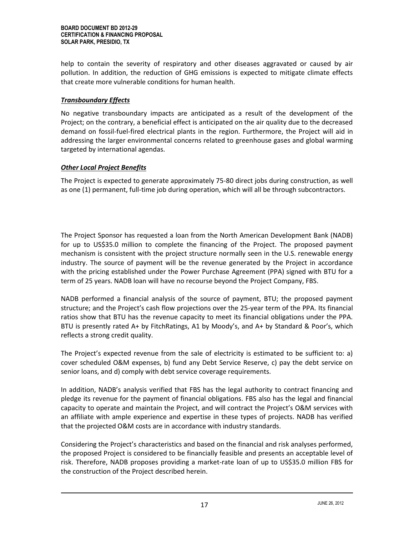help to contain the severity of respiratory and other diseases aggravated or caused by air pollution. In addition, the reduction of GHG emissions is expected to mitigate climate effects that create more vulnerable conditions for human health.

#### *Transboundary Effects*

No negative transboundary impacts are anticipated as a result of the development of the Project; on the contrary, a beneficial effect is anticipated on the air quality due to the decreased demand on fossil-fuel-fired electrical plants in the region. Furthermore, the Project will aid in addressing the larger environmental concerns related to greenhouse gases and global warming targeted by international agendas.

#### *Other Local Project Benefits*

The Project is expected to generate approximately 75-80 direct jobs during construction, as well as one (1) permanent, full-time job during operation, which will all be through subcontractors.

The Project Sponsor has requested a loan from the North American Development Bank (NADB) for up to US\$35.0 million to complete the financing of the Project. The proposed payment mechanism is consistent with the project structure normally seen in the U.S. renewable energy industry. The source of payment will be the revenue generated by the Project in accordance with the pricing established under the Power Purchase Agreement (PPA) signed with BTU for a term of 25 years. NADB loan will have no recourse beyond the Project Company, FBS.

NADB performed a financial analysis of the source of payment, BTU; the proposed payment structure; and the Project's cash flow projections over the 25-year term of the PPA. Its financial ratios show that BTU has the revenue capacity to meet its financial obligations under the PPA. BTU is presently rated A+ by FitchRatings, A1 by Moody's, and A+ by Standard & Poor's, which reflects a strong credit quality.

The Project's expected revenue from the sale of electricity is estimated to be sufficient to: a) cover scheduled O&M expenses, b) fund any Debt Service Reserve, c) pay the debt service on senior loans, and d) comply with debt service coverage requirements.

In addition, NADB's analysis verified that FBS has the legal authority to contract financing and pledge its revenue for the payment of financial obligations. FBS also has the legal and financial capacity to operate and maintain the Project, and will contract the Project's O&M services with an affiliate with ample experience and expertise in these types of projects. NADB has verified that the projected O&M costs are in accordance with industry standards.

Considering the Project's characteristics and based on the financial and risk analyses performed, the proposed Project is considered to be financially feasible and presents an acceptable level of risk. Therefore, NADB proposes providing a market-rate loan of up to US\$35.0 million FBS for the construction of the Project described herein.